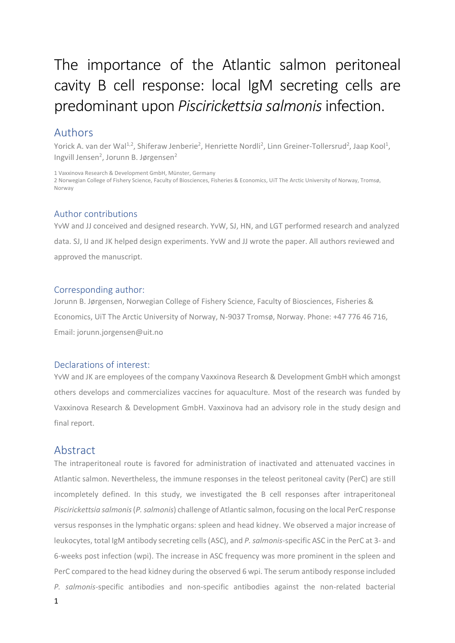# The importance of the Atlantic salmon peritoneal cavity B cell response: local IgM secreting cells are predominant upon *Piscirickettsia salmonis*infection.

# Authors

Yorick A. van der Wal<sup>1,2</sup>, Shiferaw Jenberie<sup>2</sup>, Henriette Nordli<sup>2</sup>, Linn Greiner-Tollersrud<sup>2</sup>, Jaap Kool<sup>1</sup>, Ingvill Jensen<sup>2</sup>, Jorunn B. Jørgensen<sup>2</sup>

1 Vaxxinova Research & Development GmbH, Münster, Germany

2 Norwegian College of Fishery Science, Faculty of Biosciences, Fisheries & Economics, UiT The Arctic University of Norway, Tromsø, Norway

### Author contributions

YvW and JJ conceived and designed research. YvW, SJ, HN, and LGT performed research and analyzed data. SJ, IJ and JK helped design experiments. YvW and JJ wrote the paper. All authors reviewed and approved the manuscript.

### Corresponding author:

Jorunn B. Jørgensen, Norwegian College of Fishery Science, Faculty of Biosciences, Fisheries & Economics, UiT The Arctic University of Norway, N-9037 Tromsø, Norway. Phone: +47 776 46 716, Email: jorunn.jorgensen@uit.no

### Declarations of interest:

YvW and JK are employees of the company Vaxxinova Research & Development GmbH which amongst others develops and commercializes vaccines for aquaculture. Most of the research was funded by Vaxxinova Research & Development GmbH. Vaxxinova had an advisory role in the study design and final report.

# Abstract

The intraperitoneal route is favored for administration of inactivated and attenuated vaccines in Atlantic salmon. Nevertheless, the immune responses in the teleost peritoneal cavity (PerC) are still incompletely defined. In this study, we investigated the B cell responses after intraperitoneal *Piscirickettsia salmonis* (*P. salmonis*) challenge of Atlantic salmon, focusing on the local PerC response versus responses in the lymphatic organs: spleen and head kidney. We observed a major increase of leukocytes, total IgM antibody secreting cells (ASC), and *P. salmonis*-specific ASC in the PerC at 3- and 6-weeks post infection (wpi). The increase in ASC frequency was more prominent in the spleen and PerC compared to the head kidney during the observed 6 wpi. The serum antibody response included *P. salmonis*-specific antibodies and non-specific antibodies against the non-related bacterial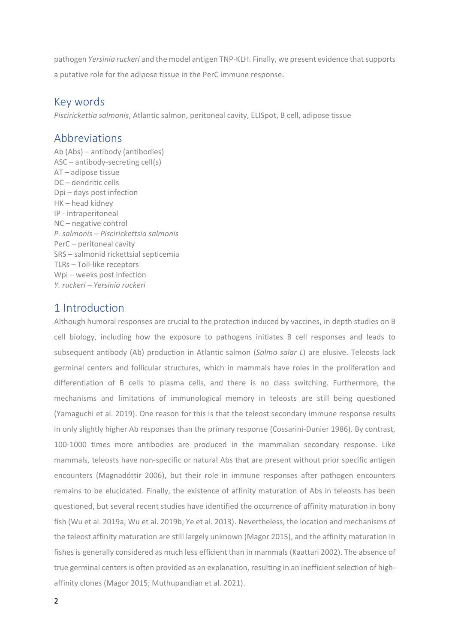pathogen *Yersinia ruckeri* and the model antigen TNP-KLH. Finally, we present evidence that supports a putative role for the adipose tissue in the PerC immune response.

# Key words

*Piscirickettia salmonis*, Atlantic salmon, peritoneal cavity, ELISpot, B cell, adipose tissue

# Abbreviations

Ab (Abs) – antibody (antibodies) ASC – antibody-secreting cell(s) AT – adipose tissue DC – dendritic cells Dpi – days post infection HK – head kidney IP - intraperitoneal NC – negative control *P. salmonis – Piscirickettsia salmonis* PerC – peritoneal cavity SRS – salmonid rickettsial septicemia TLRs – Toll-like receptors Wpi – weeks post infection *Y. ruckeri – Yersinia ruckeri*

# 1 Introduction

Although humoral responses are crucial to the protection induced by vaccines, in depth studies on B cell biology, including how the exposure to pathogens initiates B cell responses and leads to subsequent antibody (Ab) production in Atlantic salmon (*Salmo salar L*) are elusive. Teleosts lack germinal centers and follicular structures, which in mammals have roles in the proliferation and differentiation of B cells to plasma cells, and there is no class switching. Furthermore, the mechanisms and limitations of immunological memory in teleosts are still being questioned (Yamaguchi et al. 2019). One reason for this is that the teleost secondary immune response results in only slightly higher Ab responses than the primary response (Cossarini-Dunier 1986). By contrast, 100-1000 times more antibodies are produced in the mammalian secondary response. Like mammals, teleosts have non-specific or natural Abs that are present without prior specific antigen encounters (Magnadóttir 2006), but their role in immune responses after pathogen encounters remains to be elucidated. Finally, the existence of affinity maturation of Abs in teleosts has been questioned, but several recent studies have identified the occurrence of affinity maturation in bony fish (Wu et al. 2019a; Wu et al. 2019b; Ye et al. 2013). Nevertheless, the location and mechanisms of the teleost affinity maturation are still largely unknown (Magor 2015), and the affinity maturation in fishes is generally considered as much less efficient than in mammals (Kaattari 2002). The absence of true germinal centers is often provided as an explanation, resulting in an inefficient selection of highaffinity clones (Magor 2015; Muthupandian et al. 2021).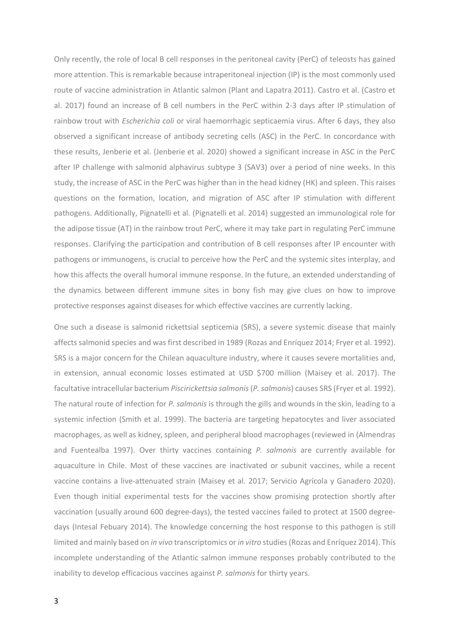Only recently, the role of local B cell responses in the peritoneal cavity (PerC) of teleosts has gained more attention. This is remarkable because intraperitoneal injection (IP) is the most commonly used route of vaccine administration in Atlantic salmon (Plant and Lapatra 2011). Castro et al. (Castro et al. 2017) found an increase of B cell numbers in the PerC within 2-3 days after IP stimulation of rainbow trout with *Escherichia coli* or viral haemorrhagic septicaemia virus. After 6 days, they also observed a significant increase of antibody secreting cells (ASC) in the PerC. In concordance with these results, Jenberie et al. (Jenberie et al. 2020) showed a significant increase in ASC in the PerC after IP challenge with salmonid alphavirus subtype 3 (SAV3) over a period of nine weeks. In this study, the increase of ASC in the PerC was higher than in the head kidney (HK) and spleen. This raises questions on the formation, location, and migration of ASC after IP stimulation with different pathogens. Additionally, Pignatelli et al. (Pignatelli et al. 2014) suggested an immunological role for the adipose tissue (AT) in the rainbow trout PerC, where it may take part in regulating PerC immune responses. Clarifying the participation and contribution of B cell responses after IP encounter with pathogens or immunogens, is crucial to perceive how the PerC and the systemic sites interplay, and how this affects the overall humoral immune response. In the future, an extended understanding of the dynamics between different immune sites in bony fish may give clues on how to improve protective responses against diseases for which effective vaccines are currently lacking.

One such a disease is salmonid rickettsial septicemia (SRS), a severe systemic disease that mainly affects salmonid species and was first described in 1989 (Rozas and Enríquez 2014; Fryer et al. 1992). SRS is a major concern for the Chilean aquaculture industry, where it causes severe mortalities and, in extension, annual economic losses estimated at USD \$700 million (Maisey et al. 2017). The facultative intracellular bacterium *Piscirickettsia salmonis*(*P. salmonis*) causes SRS (Fryer et al. 1992). The natural route of infection for *P. salmonis* is through the gills and wounds in the skin, leading to a systemic infection (Smith et al. 1999). The bacteria are targeting hepatocytes and liver associated macrophages, as well as kidney, spleen, and peripheral blood macrophages (reviewed in (Almendras and Fuentealba 1997). Over thirty vaccines containing *P. salmonis* are currently available for aquaculture in Chile. Most of these vaccines are inactivated or subunit vaccines, while a recent vaccine contains a live-attenuated strain (Maisey et al. 2017; Servicio Agrícola y Ganadero 2020). Even though initial experimental tests for the vaccines show promising protection shortly after vaccination (usually around 600 degree-days), the tested vaccines failed to protect at 1500 degreedays (Intesal Febuary 2014). The knowledge concerning the host response to this pathogen is still limited and mainly based on *in vivo* transcriptomics or *in vitro* studies(Rozas and Enríquez 2014). This incomplete understanding of the Atlantic salmon immune responses probably contributed to the inability to develop efficacious vaccines against *P. salmonis* for thirty years.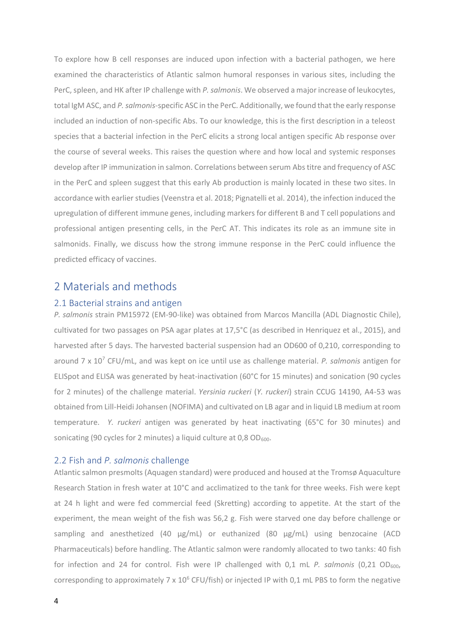To explore how B cell responses are induced upon infection with a bacterial pathogen, we here examined the characteristics of Atlantic salmon humoral responses in various sites, including the PerC, spleen, and HK after IP challenge with *P. salmonis*. We observed a major increase of leukocytes, total IgM ASC, and *P. salmonis*-specific ASC in the PerC. Additionally, we found that the early response included an induction of non-specific Abs. To our knowledge, this is the first description in a teleost species that a bacterial infection in the PerC elicits a strong local antigen specific Ab response over the course of several weeks. This raises the question where and how local and systemic responses develop after IP immunization in salmon. Correlations between serum Abstitre and frequency of ASC in the PerC and spleen suggest that this early Ab production is mainly located in these two sites. In accordance with earlier studies (Veenstra et al. 2018; Pignatelli et al. 2014), the infection induced the upregulation of different immune genes, including markers for different B and T cell populations and professional antigen presenting cells, in the PerC AT. This indicates its role as an immune site in salmonids. Finally, we discuss how the strong immune response in the PerC could influence the predicted efficacy of vaccines.

## 2 Materials and methods

#### 2.1 Bacterial strains and antigen

*P. salmonis* strain PM15972 (EM-90-like) was obtained from Marcos Mancilla (ADL Diagnostic Chile), cultivated for two passages on PSA agar plates at 17,5°C (as described in Henriquez et al., 2015), and harvested after 5 days. The harvested bacterial suspension had an OD600 of 0,210, corresponding to around 7 x 10<sup>7</sup> CFU/mL, and was kept on ice until use as challenge material. *P. salmonis* antigen for ELISpot and ELISA was generated by heat-inactivation (60°C for 15 minutes) and sonication (90 cycles for 2 minutes) of the challenge material. *Yersinia ruckeri* (*Y. ruckeri*) strain CCUG 14190, A4-53 was obtained from Lill-Heidi Johansen (NOFIMA) and cultivated on LB agar and in liquid LB medium at room temperature. *Y. ruckeri* antigen was generated by heat inactivating (65°C for 30 minutes) and sonicating (90 cycles for 2 minutes) a liquid culture at  $0.8$  OD $_{600}$ .

### 2.2 Fish and *P. salmonis* challenge

Atlantic salmon presmolts (Aquagen standard) were produced and housed at the Tromsø Aquaculture Research Station in fresh water at 10°C and acclimatized to the tank for three weeks. Fish were kept at 24 h light and were fed commercial feed (Skretting) according to appetite. At the start of the experiment, the mean weight of the fish was 56,2 g. Fish were starved one day before challenge or sampling and anesthetized (40  $\mu$ g/mL) or euthanized (80  $\mu$ g/mL) using benzocaine (ACD Pharmaceuticals) before handling. The Atlantic salmon were randomly allocated to two tanks: 40 fish for infection and 24 for control. Fish were IP challenged with 0,1 mL *P. salmonis* (0,21 OD<sub>600</sub>, corresponding to approximately 7 x  $10^6$  CFU/fish) or injected IP with 0,1 mL PBS to form the negative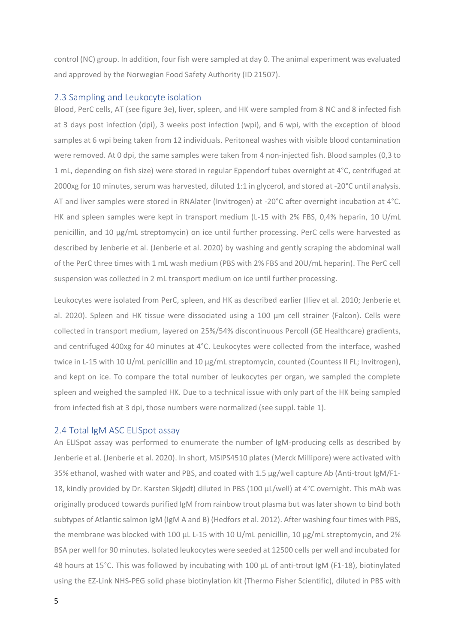control (NC) group. In addition, four fish were sampled at day 0. The animal experiment was evaluated and approved by the Norwegian Food Safety Authority (ID 21507).

#### 2.3 Sampling and Leukocyte isolation

Blood, PerC cells, AT (see figure 3e), liver, spleen, and HK were sampled from 8 NC and 8 infected fish at 3 days post infection (dpi), 3 weeks post infection (wpi), and 6 wpi, with the exception of blood samples at 6 wpi being taken from 12 individuals. Peritoneal washes with visible blood contamination were removed. At 0 dpi, the same samples were taken from 4 non-injected fish. Blood samples (0,3 to 1 mL, depending on fish size) were stored in regular Eppendorf tubes overnight at 4°C, centrifuged at 2000xg for 10 minutes, serum was harvested, diluted 1:1 in glycerol, and stored at -20°C until analysis. AT and liver samples were stored in RNAlater (Invitrogen) at -20°C after overnight incubation at 4°C. HK and spleen samples were kept in transport medium (L-15 with 2% FBS, 0,4% heparin, 10 U/mL penicillin, and 10 µg/mL streptomycin) on ice until further processing. PerC cells were harvested as described by Jenberie et al. (Jenberie et al. 2020) by washing and gently scraping the abdominal wall of the PerC three times with 1 mL wash medium (PBS with 2% FBS and 20U/mL heparin). The PerC cell suspension was collected in 2 mL transport medium on ice until further processing.

Leukocytes were isolated from PerC, spleen, and HK as described earlier (Iliev et al. 2010; Jenberie et al. 2020). Spleen and HK tissue were dissociated using a 100 µm cell strainer (Falcon). Cells were collected in transport medium, layered on 25%/54% discontinuous Percoll (GE Healthcare) gradients, and centrifuged 400xg for 40 minutes at 4°C. Leukocytes were collected from the interface, washed twice in L-15 with 10 U/mL penicillin and 10 µg/mL streptomycin, counted (Countess II FL; Invitrogen), and kept on ice. To compare the total number of leukocytes per organ, we sampled the complete spleen and weighed the sampled HK. Due to a technical issue with only part of the HK being sampled from infected fish at 3 dpi, those numbers were normalized (see suppl. table 1).

#### 2.4 Total IgM ASC ELISpot assay

An ELISpot assay was performed to enumerate the number of IgM-producing cells as described by Jenberie et al. (Jenberie et al. 2020). In short, MSIPS4510 plates (Merck Millipore) were activated with 35% ethanol, washed with water and PBS, and coated with 1.5 µg/well capture Ab (Anti-trout IgM/F1- 18, kindly provided by Dr. Karsten Skjødt) diluted in PBS (100 µL/well) at 4°C overnight. This mAb was originally produced towards purified IgM from rainbow trout plasma but was later shown to bind both subtypes of Atlantic salmon IgM (IgM A and B) (Hedfors et al. 2012). After washing four times with PBS, the membrane was blocked with 100 µL L-15 with 10 U/mL penicillin, 10 µg/mL streptomycin, and 2% BSA per well for 90 minutes. Isolated leukocytes were seeded at 12500 cells per well and incubated for 48 hours at 15°C. This was followed by incubating with 100 µL of anti-trout IgM (F1-18), biotinylated using the EZ-Link NHS-PEG solid phase biotinylation kit (Thermo Fisher Scientific), diluted in PBS with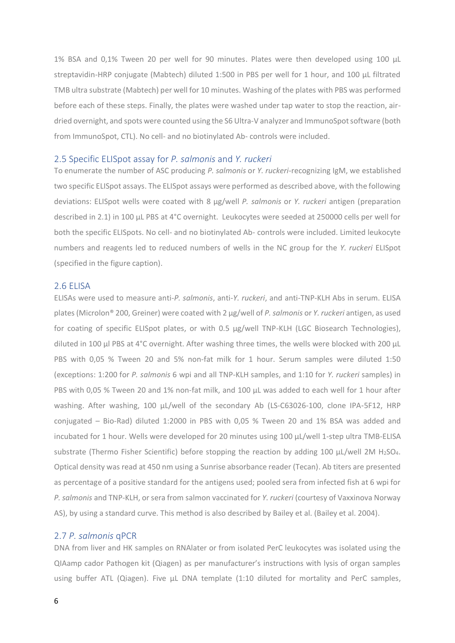1% BSA and 0,1% Tween 20 per well for 90 minutes. Plates were then developed using 100 µL streptavidin-HRP conjugate (Mabtech) diluted 1:500 in PBS per well for 1 hour, and 100 µL filtrated TMB ultra substrate (Mabtech) per well for 10 minutes. Washing of the plates with PBS was performed before each of these steps. Finally, the plates were washed under tap water to stop the reaction, airdried overnight, and spots were counted using the S6 Ultra-V analyzer and ImmunoSpotsoftware (both from ImmunoSpot, CTL). No cell- and no biotinylated Ab- controls were included.

#### 2.5 Specific ELISpot assay for *P. salmonis* and *Y. ruckeri*

To enumerate the number of ASC producing *P. salmonis* or *Y. ruckeri*-recognizing IgM, we established two specific ELISpot assays. The ELISpot assays were performed as described above, with the following deviations: ELISpot wells were coated with 8 µg/well *P. salmonis* or *Y. ruckeri* antigen (preparation described in 2.1) in 100 µL PBS at 4°C overnight. Leukocytes were seeded at 250000 cells per well for both the specific ELISpots. No cell- and no biotinylated Ab- controls were included. Limited leukocyte numbers and reagents led to reduced numbers of wells in the NC group for the *Y. ruckeri* ELISpot (specified in the figure caption).

#### 2.6 ELISA

ELISAs were used to measure anti-*P. salmonis*, anti-*Y. ruckeri*, and anti-TNP-KLH Abs in serum. ELISA plates (Microlon® 200, Greiner) were coated with 2 µg/well of *P. salmonis* or *Y. ruckeri* antigen, as used for coating of specific ELISpot plates, or with 0.5 µg/well TNP-KLH (LGC Biosearch Technologies), diluted in 100 µl PBS at 4°C overnight. After washing three times, the wells were blocked with 200 µL PBS with 0,05 % Tween 20 and 5% non-fat milk for 1 hour. Serum samples were diluted 1:50 (exceptions: 1:200 for *P. salmonis* 6 wpi and all TNP-KLH samples, and 1:10 for *Y. ruckeri* samples) in PBS with 0,05 % Tween 20 and 1% non-fat milk, and 100 µL was added to each well for 1 hour after washing. After washing, 100 µL/well of the secondary Ab (LS-C63026-100, clone IPA-5F12, HRP conjugated – Bio-Rad) diluted 1:2000 in PBS with 0,05 % Tween 20 and 1% BSA was added and incubated for 1 hour. Wells were developed for 20 minutes using 100 µL/well 1-step ultra TMB-ELISA substrate (Thermo Fisher Scientific) before stopping the reaction by adding 100 μL/well 2M H2SO4. Optical density was read at 450 nm using a Sunrise absorbance reader (Tecan). Ab titers are presented as percentage of a positive standard for the antigens used; pooled sera from infected fish at 6 wpi for *P. salmonis* and TNP-KLH, or sera from salmon vaccinated for *Y. ruckeri* (courtesy of Vaxxinova Norway AS), by using a standard curve. This method is also described by Bailey et al. (Bailey et al. 2004).

#### 2.7 *P. salmonis* qPCR

DNA from liver and HK samples on RNAlater or from isolated PerC leukocytes was isolated using the QIAamp cador Pathogen kit (Qiagen) as per manufacturer's instructions with lysis of organ samples using buffer ATL (Qiagen). Five µL DNA template (1:10 diluted for mortality and PerC samples,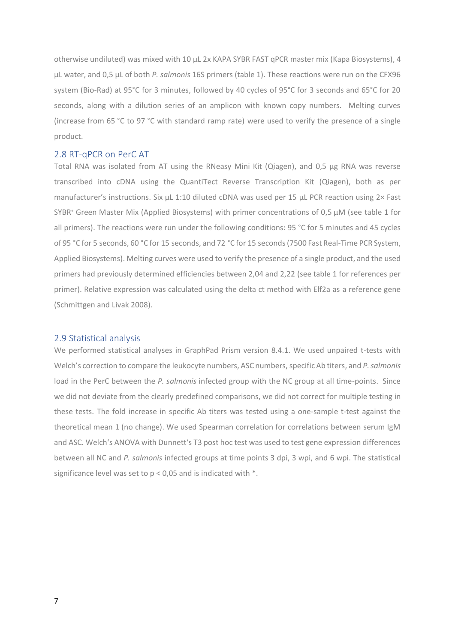otherwise undiluted) was mixed with 10 µL 2x KAPA SYBR FAST qPCR master mix (Kapa Biosystems), 4 µL water, and 0,5 µL of both *P. salmonis* 16S primers (table 1). These reactions were run on the CFX96 system (Bio-Rad) at 95°C for 3 minutes, followed by 40 cycles of 95°C for 3 seconds and 65°C for 20 seconds, along with a dilution series of an amplicon with known copy numbers. Melting curves (increase from 65 °C to 97 °C with standard ramp rate) were used to verify the presence of a single product.

#### 2.8 RT-qPCR on PerC AT

Total RNA was isolated from AT using the RNeasy Mini Kit (Qiagen), and 0,5 µg RNA was reverse transcribed into cDNA using the QuantiTect Reverse Transcription Kit (Qiagen), both as per manufacturer's instructions. Six µL 1:10 diluted cDNA was used per 15 µL PCR reaction using 2× Fast SYBR<sup>®</sup> Green Master Mix (Applied Biosystems) with primer concentrations of 0,5 μM (see table 1 for all primers). The reactions were run under the following conditions: 95 °C for 5 minutes and 45 cycles of 95 °C for 5 seconds, 60 °C for 15 seconds, and 72 °C for 15 seconds(7500 Fast Real-Time PCR System, Applied Biosystems). Melting curves were used to verify the presence of a single product, and the used primers had previously determined efficiencies between 2,04 and 2,22 (see table 1 for references per primer). Relative expression was calculated using the delta ct method with Elf2a as a reference gene (Schmittgen and Livak 2008).

#### 2.9 Statistical analysis

We performed statistical analyses in GraphPad Prism version 8.4.1. We used unpaired t-tests with Welch's correction to compare the leukocyte numbers, ASC numbers, specific Ab titers, and *P. salmonis*  load in the PerC between the *P. salmonis* infected group with the NC group at all time-points. Since we did not deviate from the clearly predefined comparisons, we did not correct for multiple testing in these tests. The fold increase in specific Ab titers was tested using a one-sample t-test against the theoretical mean 1 (no change). We used Spearman correlation for correlations between serum IgM and ASC. Welch's ANOVA with Dunnett's T3 post hoc test was used to test gene expression differences between all NC and *P. salmonis* infected groups at time points 3 dpi, 3 wpi, and 6 wpi. The statistical significance level was set to  $p < 0.05$  and is indicated with  $*$ .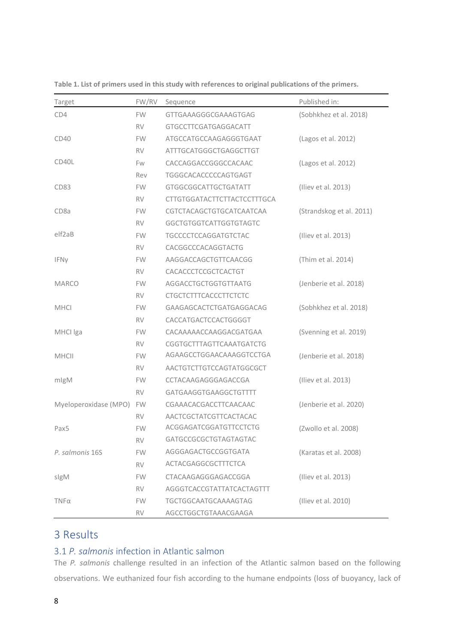| Target                | FW/RV     | Sequence                           | Published in:            |
|-----------------------|-----------|------------------------------------|--------------------------|
| CD4                   | <b>FW</b> | GTTGAAAGGGCGAAAGTGAG               | (Sobhkhez et al. 2018)   |
|                       | <b>RV</b> | GTGCCTTCGATGAGGACATT               |                          |
| CD40                  | <b>FW</b> | ATGCCATGCCAAGAGGGTGAAT             | (Lagos et al. 2012)      |
|                       | <b>RV</b> | ATTTGCATGGGCTGAGGCTTGT             |                          |
| CD40L                 | Fw        | CACCAGGACCGGGCCACAAC               | (Lagos et al. 2012)      |
|                       | Rev       | TGGGCACACCCCCAGTGAGT               |                          |
| CD <sub>83</sub>      | <b>FW</b> | GTGGCGGCATTGCTGATATT               | (Iliev et al. 2013)      |
|                       | <b>RV</b> | <b>CTTGTGGATACTTCTTACTCCTTTGCA</b> |                          |
| CD <sub>8</sub> a     | <b>FW</b> | CGTCTACAGCTGTGCATCAATCAA           | (Strandskog et al. 2011) |
|                       | <b>RV</b> | GGCTGTGGTCATTGGTGTAGTC             |                          |
| elf <sub>2</sub> aB   | <b>FW</b> | TGCCCCTCCAGGATGTCTAC               | (Iliev et al. 2013)      |
|                       | <b>RV</b> | CACGGCCCACAGGTACTG                 |                          |
| IFNy                  | <b>FW</b> | AAGGACCAGCTGTTCAACGG               | (Thim et al. 2014)       |
|                       | <b>RV</b> | CACACCCTCCGCTCACTGT                |                          |
| <b>MARCO</b>          | FW.       | AGGACCTGCTGGTGTTAATG               | (Jenberie et al. 2018)   |
|                       | <b>RV</b> | <b>CTGCTCTTTCACCCTTCTCTC</b>       |                          |
| <b>MHCI</b>           | <b>FW</b> | GAAGAGCACTCTGATGAGGACAG            | (Sobhkhez et al. 2018)   |
|                       | RV.       | CACCATGACTCCACTGGGGT               |                          |
| MHCI Iga              | <b>FW</b> | CACAAAAACCAAGGACGATGAA             | (Svenning et al. 2019)   |
|                       | <b>RV</b> | CGGTGCTTTAGTTCAAATGATCTG           |                          |
| <b>MHCII</b>          | <b>FW</b> | AGAAGCCTGGAACAAAGGTCCTGA           | (Jenberie et al. 2018)   |
|                       | <b>RV</b> | AACTGTCTTGTCCAGTATGGCGCT           |                          |
| mlgM                  | <b>FW</b> | CCTACAAGAGGGAGACCGA                | (Iliev et al. 2013)      |
|                       | <b>RV</b> | GATGAAGGTGAAGGCTGTTTT              |                          |
| Myeloperoxidase (MPO) | <b>FW</b> | CGAAACACGACCTTCAACAAC              | (Jenberie et al. 2020)   |
|                       | RV.       | AACTCGCTATCGTTCACTACAC             |                          |
| Pax5                  | <b>FW</b> | ACGGAGATCGGATGTTCCTCTG             | (Zwollo et al. 2008)     |
|                       | <b>RV</b> | GATGCCGCGCTGTAGTAGTAC              |                          |
| P. salmonis 16S       | <b>FW</b> | AGGGAGACTGCCGGTGATA                | (Karatas et al. 2008)    |
|                       | RV.       | ACTACGAGGCGCTTTCTCA                |                          |
| sigM                  | FW.       | CTACAAGAGGGAGACCGGA                | (Iliev et al. 2013)      |
|                       | RV.       | AGGGTCACCGTATTATCACTAGTTT          |                          |
| TΝFα                  | FW.       | TGCTGGCAATGCAAAAGTAG               | (Iliev et al. 2010)      |
|                       | <b>RV</b> | AGCCTGGCTGTAAACGAAGA               |                          |

**Table 1. List of primers used in this study with references to original publications of the primers.**

# 3 Results

### 3.1 *P. salmonis* infection in Atlantic salmon

The *P. salmonis* challenge resulted in an infection of the Atlantic salmon based on the following observations. We euthanized four fish according to the humane endpoints (loss of buoyancy, lack of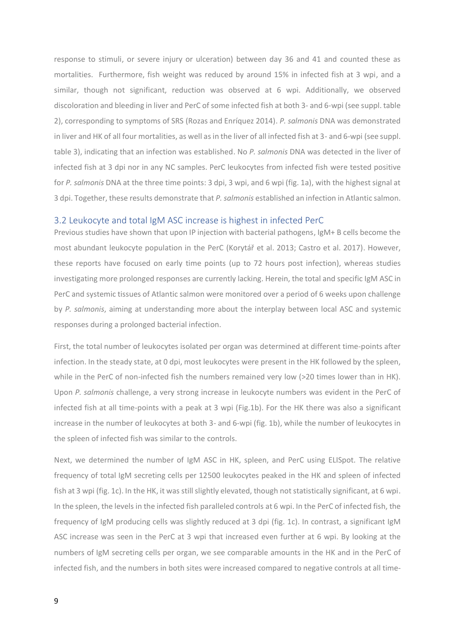response to stimuli, or severe injury or ulceration) between day 36 and 41 and counted these as mortalities. Furthermore, fish weight was reduced by around 15% in infected fish at 3 wpi, and a similar, though not significant, reduction was observed at 6 wpi. Additionally, we observed discoloration and bleeding in liver and PerC of some infected fish at both 3- and 6-wpi (see suppl. table 2), corresponding to symptoms of SRS (Rozas and Enríquez 2014). *P. salmonis* DNA was demonstrated in liver and HK of all four mortalities, as well as in the liver of all infected fish at 3- and 6-wpi (see suppl. table 3), indicating that an infection was established. No *P. salmonis* DNA was detected in the liver of infected fish at 3 dpi nor in any NC samples. PerC leukocytes from infected fish were tested positive for *P. salmonis* DNA at the three time points: 3 dpi, 3 wpi, and 6 wpi (fig. 1a), with the highest signal at 3 dpi. Together, these results demonstrate that *P. salmonis* established an infection in Atlantic salmon.

#### 3.2 Leukocyte and total IgM ASC increase is highest in infected PerC

Previous studies have shown that upon IP injection with bacterial pathogens, IgM+ B cells become the most abundant leukocyte population in the PerC (Korytář et al. 2013; Castro et al. 2017). However, these reports have focused on early time points (up to 72 hours post infection), whereas studies investigating more prolonged responses are currently lacking. Herein, the total and specific IgM ASC in PerC and systemic tissues of Atlantic salmon were monitored over a period of 6 weeks upon challenge by *P. salmonis*, aiming at understanding more about the interplay between local ASC and systemic responses during a prolonged bacterial infection.

First, the total number of leukocytes isolated per organ was determined at different time-points after infection. In the steady state, at 0 dpi, most leukocytes were present in the HK followed by the spleen, while in the PerC of non-infected fish the numbers remained very low (>20 times lower than in HK). Upon *P. salmonis* challenge, a very strong increase in leukocyte numbers was evident in the PerC of infected fish at all time-points with a peak at 3 wpi (Fig.1b). For the HK there was also a significant increase in the number of leukocytes at both 3- and 6-wpi (fig. 1b), while the number of leukocytes in the spleen of infected fish was similar to the controls.

Next, we determined the number of IgM ASC in HK, spleen, and PerC using ELISpot. The relative frequency of total IgM secreting cells per 12500 leukocytes peaked in the HK and spleen of infected fish at 3 wpi (fig. 1c). In the HK, it was still slightly elevated, though not statistically significant, at 6 wpi. In the spleen, the levels in the infected fish paralleled controls at 6 wpi. In the PerC of infected fish, the frequency of IgM producing cells was slightly reduced at 3 dpi (fig. 1c). In contrast, a significant IgM ASC increase was seen in the PerC at 3 wpi that increased even further at 6 wpi. By looking at the numbers of IgM secreting cells per organ, we see comparable amounts in the HK and in the PerC of infected fish, and the numbers in both sites were increased compared to negative controls at all time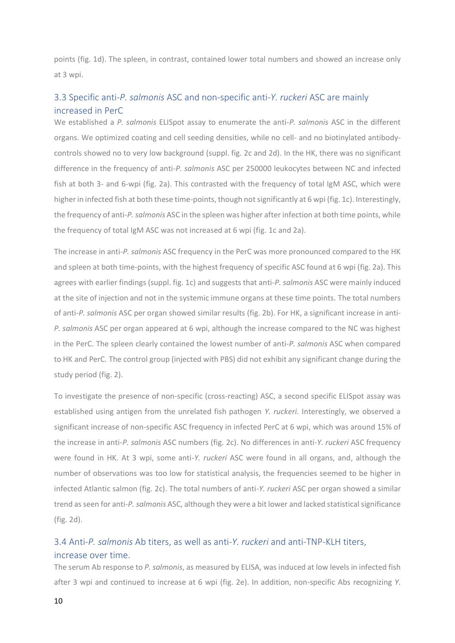points (fig. 1d). The spleen, in contrast, contained lower total numbers and showed an increase only at 3 wpi.

### 3.3 Specific anti-*P. salmonis* ASC and non-specific anti-*Y. ruckeri* ASC are mainly increased in PerC

We established a *P. salmonis* ELISpot assay to enumerate the anti-*P. salmonis* ASC in the different organs. We optimized coating and cell seeding densities, while no cell- and no biotinylated antibodycontrols showed no to very low background (suppl. fig. 2c and 2d). In the HK, there was no significant difference in the frequency of anti-*P. salmonis* ASC per 250000 leukocytes between NC and infected fish at both 3- and 6-wpi (fig. 2a). This contrasted with the frequency of total IgM ASC, which were higher in infected fish at both these time-points, though not significantly at 6 wpi (fig. 1c). Interestingly, the frequency of anti-*P. salmonis* ASC in the spleen was higher after infection at both time points, while the frequency of total IgM ASC was not increased at 6 wpi (fig. 1c and 2a).

The increase in anti-*P. salmonis* ASC frequency in the PerC was more pronounced compared to the HK and spleen at both time-points, with the highest frequency of specific ASC found at 6 wpi (fig. 2a). This agrees with earlier findings (suppl. fig. 1c) and suggests that anti-*P. salmonis* ASC were mainly induced at the site of injection and not in the systemic immune organs at these time points. The total numbers of anti-*P. salmonis* ASC per organ showed similar results (fig. 2b). For HK, a significant increase in anti-*P. salmonis* ASC per organ appeared at 6 wpi, although the increase compared to the NC was highest in the PerC. The spleen clearly contained the lowest number of anti-*P. salmonis* ASC when compared to HK and PerC. The control group (injected with PBS) did not exhibit any significant change during the study period (fig. 2).

To investigate the presence of non-specific (cross-reacting) ASC, a second specific ELISpot assay was established using antigen from the unrelated fish pathogen *Y. ruckeri.* Interestingly, we observed a significant increase of non-specific ASC frequency in infected PerC at 6 wpi, which was around 15% of the increase in anti-*P. salmonis* ASC numbers (fig. 2c). No differences in anti-*Y. ruckeri* ASC frequency were found in HK. At 3 wpi, some anti-*Y. ruckeri* ASC were found in all organs, and, although the number of observations was too low for statistical analysis, the frequencies seemed to be higher in infected Atlantic salmon (fig. 2c). The total numbers of anti-*Y. ruckeri* ASC per organ showed a similar trend as seen for anti-*P. salmonis* ASC, although they were a bit lower and lacked statistical significance (fig. 2d).

### 3.4 Anti-*P. salmonis* Ab titers, as well as anti-*Y. ruckeri* and anti-TNP-KLH titers, increase over time.

The serum Ab response to *P. salmonis*, as measured by ELISA, was induced at low levels in infected fish after 3 wpi and continued to increase at 6 wpi (fig. 2e). In addition, non-specific Abs recognizing *Y.*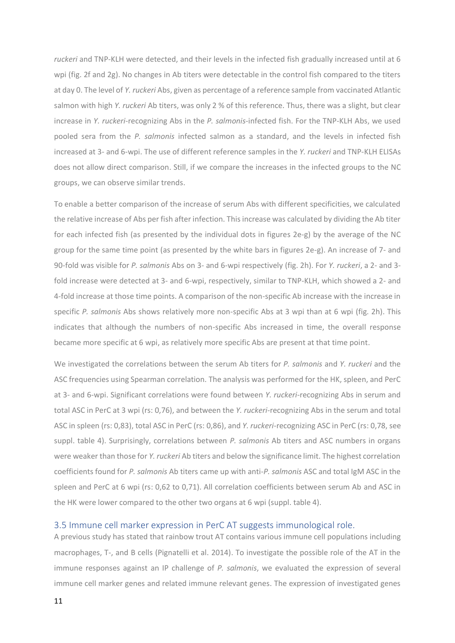*ruckeri* and TNP-KLH were detected, and their levels in the infected fish gradually increased until at 6 wpi (fig. 2f and 2g). No changes in Ab titers were detectable in the control fish compared to the titers at day 0. The level of *Y. ruckeri* Abs, given as percentage of a reference sample from vaccinated Atlantic salmon with high *Y. ruckeri* Ab titers, was only 2 % of this reference. Thus, there was a slight, but clear increase in *Y. ruckeri*-recognizing Abs in the *P. salmonis*-infected fish. For the TNP-KLH Abs, we used pooled sera from the *P. salmonis* infected salmon as a standard, and the levels in infected fish increased at 3- and 6-wpi. The use of different reference samples in the *Y. ruckeri* and TNP-KLH ELISAs does not allow direct comparison. Still, if we compare the increases in the infected groups to the NC groups, we can observe similar trends.

To enable a better comparison of the increase of serum Abs with different specificities, we calculated the relative increase of Abs per fish after infection. This increase was calculated by dividing the Ab titer for each infected fish (as presented by the individual dots in figures 2e-g) by the average of the NC group for the same time point (as presented by the white bars in figures 2e-g). An increase of 7- and 90-fold was visible for *P. salmonis* Abs on 3- and 6-wpi respectively (fig. 2h). For *Y. ruckeri*, a 2- and 3 fold increase were detected at 3- and 6-wpi, respectively, similar to TNP-KLH, which showed a 2- and 4-fold increase at those time points. A comparison of the non-specific Ab increase with the increase in specific *P. salmonis* Abs shows relatively more non-specific Abs at 3 wpi than at 6 wpi (fig. 2h). This indicates that although the numbers of non-specific Abs increased in time, the overall response became more specific at 6 wpi, as relatively more specific Abs are present at that time point.

We investigated the correlations between the serum Ab titers for *P. salmonis* and *Y. ruckeri* and the ASC frequencies using Spearman correlation. The analysis was performed for the HK, spleen, and PerC at 3- and 6-wpi. Significant correlations were found between *Y. ruckeri*-recognizing Abs in serum and total ASC in PerC at 3 wpi (rs: 0,76), and between the *Y. ruckeri*-recognizing Abs in the serum and total ASC in spleen (rs: 0,83), total ASC in PerC (rs: 0,86), and *Y. ruckeri*-recognizing ASC in PerC (rs: 0,78, see suppl. table 4). Surprisingly, correlations between *P. salmonis* Ab titers and ASC numbers in organs were weaker than those for *Y. ruckeri* Ab titers and below the significance limit. The highest correlation coefficients found for *P. salmonis* Ab titers came up with anti-*P. salmonis* ASC and total IgM ASC in the spleen and PerC at 6 wpi (rs: 0,62 to 0,71). All correlation coefficients between serum Ab and ASC in the HK were lower compared to the other two organs at 6 wpi (suppl. table 4).

#### 3.5 Immune cell marker expression in PerC AT suggests immunological role.

A previous study has stated that rainbow trout AT contains various immune cell populations including macrophages, T-, and B cells (Pignatelli et al. 2014). To investigate the possible role of the AT in the immune responses against an IP challenge of *P. salmonis*, we evaluated the expression of several immune cell marker genes and related immune relevant genes. The expression of investigated genes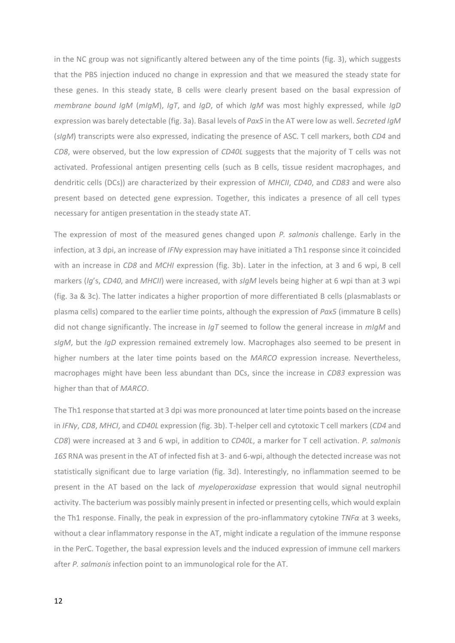in the NC group was not significantly altered between any of the time points (fig. 3), which suggests that the PBS injection induced no change in expression and that we measured the steady state for these genes. In this steady state, B cells were clearly present based on the basal expression of *membrane bound IgM* (*mIgM*), *IgT*, and *IgD*, of which *IgM* was most highly expressed, while *IgD* expression was barely detectable (fig. 3a). Basal levels of *Pax5* in the AT were low as well. *Secreted IgM* (*sIgM*) transcripts were also expressed, indicating the presence of ASC. T cell markers, both *CD4* and *CD8*, were observed, but the low expression of *CD40L* suggests that the majority of T cells was not activated. Professional antigen presenting cells (such as B cells, tissue resident macrophages, and dendritic cells (DCs)) are characterized by their expression of *MHCII*, *CD40*, and *CD83* and were also present based on detected gene expression. Together, this indicates a presence of all cell types necessary for antigen presentation in the steady state AT.

The expression of most of the measured genes changed upon *P. salmonis* challenge. Early in the infection, at 3 dpi, an increase of *IFNγ* expression may have initiated a Th1 response since it coincided with an increase in *CD8* and *MCHI* expression (fig. 3b). Later in the infection, at 3 and 6 wpi, B cell markers (*Ig*'s, *CD40*, and *MHCII*) were increased, with *sIgM* levels being higher at 6 wpi than at 3 wpi (fig. 3a & 3c). The latter indicates a higher proportion of more differentiated B cells (plasmablasts or plasma cells) compared to the earlier time points, although the expression of *Pax5* (immature B cells) did not change significantly. The increase in *IgT* seemed to follow the general increase in *mIgM* and *sIgM*, but the *IgD* expression remained extremely low. Macrophages also seemed to be present in higher numbers at the later time points based on the *MARCO* expression increase. Nevertheless, macrophages might have been less abundant than DCs, since the increase in *CD83* expression was higher than that of *MARCO*.

The Th1 response that started at 3 dpi was more pronounced at later time points based on the increase in *IFNγ*, *CD8*, *MHCI*, and *CD40L* expression (fig. 3b). T-helper cell and cytotoxic T cell markers (*CD4* and *CD8*) were increased at 3 and 6 wpi, in addition to *CD40L*, a marker for T cell activation. *P. salmonis 16S* RNA was present in the AT of infected fish at 3- and 6-wpi, although the detected increase was not statistically significant due to large variation (fig. 3d). Interestingly, no inflammation seemed to be present in the AT based on the lack of *myeloperoxidase* expression that would signal neutrophil activity. The bacterium was possibly mainly present in infected or presenting cells, which would explain the Th1 response. Finally, the peak in expression of the pro-inflammatory cytokine *TNFα* at 3 weeks, without a clear inflammatory response in the AT, might indicate a regulation of the immune response in the PerC. Together, the basal expression levels and the induced expression of immune cell markers after *P. salmonis* infection point to an immunological role for the AT.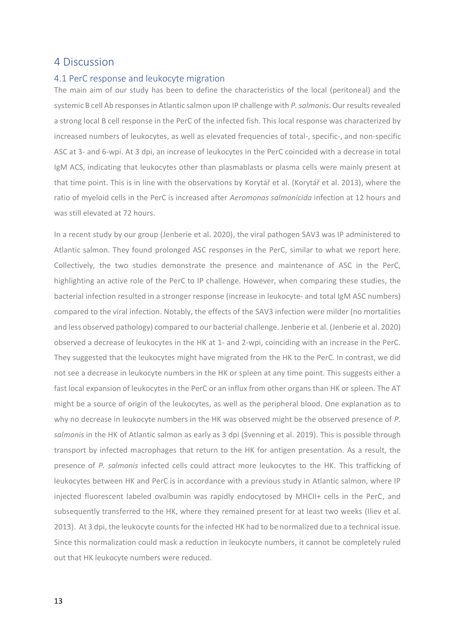### 4 Discussion

#### 4.1 PerC response and leukocyte migration

The main aim of our study has been to define the characteristics of the local (peritoneal) and the systemic B cell Ab responses in Atlantic salmon upon IP challenge with *P. salmonis*. Our results revealed a strong local B cell response in the PerC of the infected fish. This local response was characterized by increased numbers of leukocytes, as well as elevated frequencies of total-, specific-, and non-specific ASC at 3- and 6-wpi. At 3 dpi, an increase of leukocytes in the PerC coincided with a decrease in total IgM ACS, indicating that leukocytes other than plasmablasts or plasma cells were mainly present at that time point. This is in line with the observations by Korytář et al. (Korytář et al. 2013), where the ratio of myeloid cells in the PerC is increased after *Aeromonas salmonicida* infection at 12 hours and was still elevated at 72 hours.

In a recent study by our group (Jenberie et al. 2020), the viral pathogen SAV3 was IP administered to Atlantic salmon. They found prolonged ASC responses in the PerC, similar to what we report here. Collectively, the two studies demonstrate the presence and maintenance of ASC in the PerC, highlighting an active role of the PerC to IP challenge. However, when comparing these studies, the bacterial infection resulted in a stronger response (increase in leukocyte- and total IgM ASC numbers) compared to the viral infection. Notably, the effects of the SAV3 infection were milder (no mortalities and less observed pathology) compared to our bacterial challenge. Jenberie et al. (Jenberie et al. 2020) observed a decrease of leukocytes in the HK at 1- and 2-wpi, coinciding with an increase in the PerC. They suggested that the leukocytes might have migrated from the HK to the PerC. In contrast, we did not see a decrease in leukocyte numbers in the HK or spleen at any time point. This suggests either a fast local expansion of leukocytes in the PerC or an influx from other organs than HK or spleen. The AT might be a source of origin of the leukocytes, as well as the peripheral blood. One explanation as to why no decrease in leukocyte numbers in the HK was observed might be the observed presence of *P. salmonis* in the HK of Atlantic salmon as early as 3 dpi (Svenning et al. 2019). This is possible through transport by infected macrophages that return to the HK for antigen presentation. As a result, the presence of *P. salmonis* infected cells could attract more leukocytes to the HK. This trafficking of leukocytes between HK and PerC is in accordance with a previous study in Atlantic salmon, where IP injected fluorescent labeled ovalbumin was rapidly endocytosed by MHCII+ cells in the PerC, and subsequently transferred to the HK, where they remained present for at least two weeks (Iliev et al. 2013). At 3 dpi, the leukocyte counts for the infected HK had to be normalized due to a technical issue. Since this normalization could mask a reduction in leukocyte numbers, it cannot be completely ruled out that HK leukocyte numbers were reduced.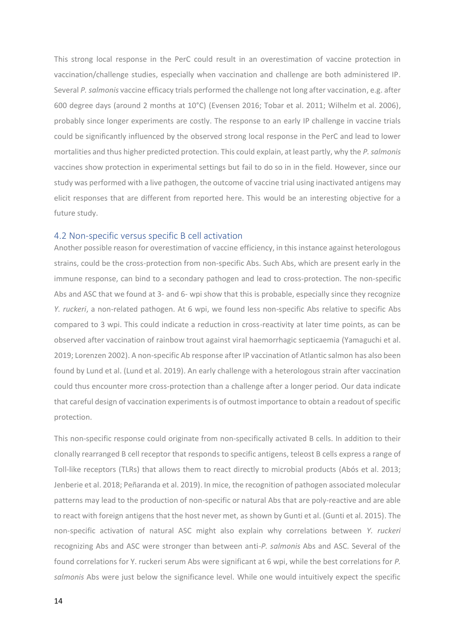This strong local response in the PerC could result in an overestimation of vaccine protection in vaccination/challenge studies, especially when vaccination and challenge are both administered IP. Several *P. salmonis* vaccine efficacy trials performed the challenge not long after vaccination, e.g. after 600 degree days (around 2 months at 10°C) (Evensen 2016; Tobar et al. 2011; Wilhelm et al. 2006), probably since longer experiments are costly. The response to an early IP challenge in vaccine trials could be significantly influenced by the observed strong local response in the PerC and lead to lower mortalities and thus higher predicted protection. This could explain, at least partly, why the *P. salmonis* vaccines show protection in experimental settings but fail to do so in in the field. However, since our study was performed with a live pathogen, the outcome of vaccine trial using inactivated antigens may elicit responses that are different from reported here. This would be an interesting objective for a future study.

#### 4.2 Non-specific versus specific B cell activation

Another possible reason for overestimation of vaccine efficiency, in this instance against heterologous strains, could be the cross-protection from non-specific Abs. Such Abs, which are present early in the immune response, can bind to a secondary pathogen and lead to cross-protection. The non-specific Abs and ASC that we found at 3- and 6- wpi show that this is probable, especially since they recognize *Y. ruckeri*, a non-related pathogen. At 6 wpi, we found less non-specific Abs relative to specific Abs compared to 3 wpi. This could indicate a reduction in cross-reactivity at later time points, as can be observed after vaccination of rainbow trout against viral haemorrhagic septicaemia (Yamaguchi et al. 2019; Lorenzen 2002). A non-specific Ab response after IP vaccination of Atlantic salmon has also been found by Lund et al. (Lund et al. 2019). An early challenge with a heterologous strain after vaccination could thus encounter more cross-protection than a challenge after a longer period. Our data indicate that careful design of vaccination experiments is of outmost importance to obtain a readout of specific protection.

This non-specific response could originate from non-specifically activated B cells. In addition to their clonally rearranged B cell receptor that responds to specific antigens, teleost B cells express a range of Toll-like receptors (TLRs) that allows them to react directly to microbial products (Abós et al. 2013; Jenberie et al. 2018; Peñaranda et al. 2019). In mice, the recognition of pathogen associated molecular patterns may lead to the production of non-specific or natural Abs that are poly-reactive and are able to react with foreign antigens that the host never met, as shown by Gunti et al. (Gunti et al. 2015). The non-specific activation of natural ASC might also explain why correlations between *Y. ruckeri* recognizing Abs and ASC were stronger than between anti-*P. salmonis* Abs and ASC. Several of the found correlations for Y. ruckeri serum Abs were significant at 6 wpi, while the best correlations for *P. salmonis* Abs were just below the significance level. While one would intuitively expect the specific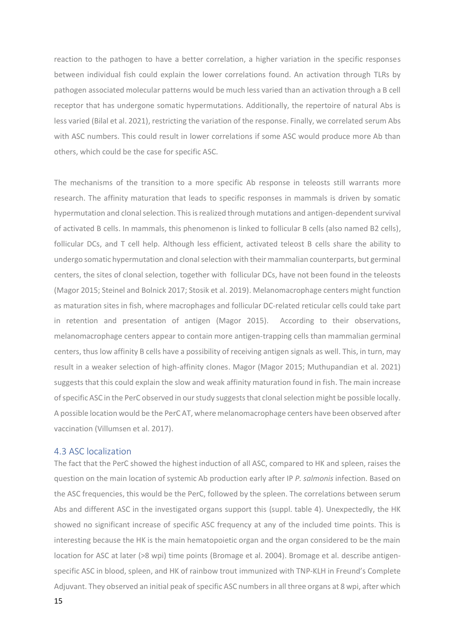reaction to the pathogen to have a better correlation, a higher variation in the specific responses between individual fish could explain the lower correlations found. An activation through TLRs by pathogen associated molecular patterns would be much less varied than an activation through a B cell receptor that has undergone somatic hypermutations. Additionally, the repertoire of natural Abs is less varied (Bilal et al. 2021), restricting the variation of the response. Finally, we correlated serum Abs with ASC numbers. This could result in lower correlations if some ASC would produce more Ab than others, which could be the case for specific ASC.

The mechanisms of the transition to a more specific Ab response in teleosts still warrants more research. The affinity maturation that leads to specific responses in mammals is driven by somatic hypermutation and clonal selection. This is realized through mutations and antigen-dependent survival of activated B cells. In mammals, this phenomenon is linked to follicular B cells (also named B2 cells), follicular DCs, and T cell help. Although less efficient, activated teleost B cells share the ability to undergo somatic hypermutation and clonal selection with their mammalian counterparts, but germinal centers, the sites of clonal selection, together with follicular DCs, have not been found in the teleosts (Magor 2015; Steinel and Bolnick 2017; Stosik et al. 2019). Melanomacrophage centers might function as maturation sites in fish, where macrophages and follicular DC-related reticular cells could take part in retention and presentation of antigen (Magor 2015). According to their observations, melanomacrophage centers appear to contain more antigen-trapping cells than mammalian germinal centers, thus low affinity B cells have a possibility of receiving antigen signals as well. This, in turn, may result in a weaker selection of high-affinity clones. Magor (Magor 2015; Muthupandian et al. 2021) suggests that this could explain the slow and weak affinity maturation found in fish. The main increase of specific ASC in the PerC observed in our study suggests that clonal selection might be possible locally. A possible location would be the PerC AT, where melanomacrophage centers have been observed after vaccination (Villumsen et al. 2017).

#### 4.3 ASC localization

The fact that the PerC showed the highest induction of all ASC, compared to HK and spleen, raises the question on the main location of systemic Ab production early after IP *P. salmonis* infection. Based on the ASC frequencies, this would be the PerC, followed by the spleen. The correlations between serum Abs and different ASC in the investigated organs support this (suppl. table 4). Unexpectedly, the HK showed no significant increase of specific ASC frequency at any of the included time points. This is interesting because the HK is the main hematopoietic organ and the organ considered to be the main location for ASC at later (>8 wpi) time points (Bromage et al. 2004). Bromage et al. describe antigenspecific ASC in blood, spleen, and HK of rainbow trout immunized with TNP-KLH in Freund's Complete Adjuvant. They observed an initial peak of specific ASC numbers in all three organs at 8 wpi, after which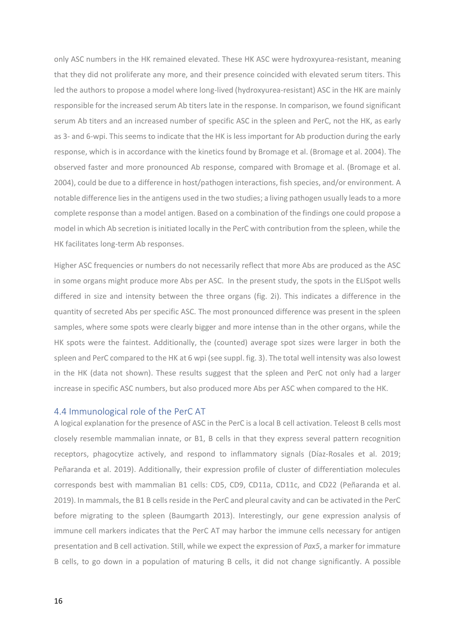only ASC numbers in the HK remained elevated. These HK ASC were hydroxyurea-resistant, meaning that they did not proliferate any more, and their presence coincided with elevated serum titers. This led the authors to propose a model where long-lived (hydroxyurea-resistant) ASC in the HK are mainly responsible for the increased serum Ab titers late in the response. In comparison, we found significant serum Ab titers and an increased number of specific ASC in the spleen and PerC, not the HK, as early as 3- and 6-wpi. This seems to indicate that the HK is less important for Ab production during the early response, which is in accordance with the kinetics found by Bromage et al. (Bromage et al. 2004). The observed faster and more pronounced Ab response, compared with Bromage et al. (Bromage et al. 2004), could be due to a difference in host/pathogen interactions, fish species, and/or environment. A notable difference lies in the antigens used in the two studies; a living pathogen usually leads to a more complete response than a model antigen. Based on a combination of the findings one could propose a model in which Ab secretion is initiated locally in the PerC with contribution from the spleen, while the HK facilitates long-term Ab responses.

Higher ASC frequencies or numbers do not necessarily reflect that more Abs are produced as the ASC in some organs might produce more Abs per ASC. In the present study, the spots in the ELISpot wells differed in size and intensity between the three organs (fig. 2i). This indicates a difference in the quantity of secreted Abs per specific ASC. The most pronounced difference was present in the spleen samples, where some spots were clearly bigger and more intense than in the other organs, while the HK spots were the faintest. Additionally, the (counted) average spot sizes were larger in both the spleen and PerC compared to the HK at 6 wpi (see suppl. fig. 3). The total well intensity was also lowest in the HK (data not shown). These results suggest that the spleen and PerC not only had a larger increase in specific ASC numbers, but also produced more Abs per ASC when compared to the HK.

#### 4.4 Immunological role of the PerC AT

A logical explanation for the presence of ASC in the PerC is a local B cell activation. Teleost B cells most closely resemble mammalian innate, or B1, B cells in that they express several pattern recognition receptors, phagocytize actively, and respond to inflammatory signals (Díaz-Rosales et al. 2019; Peñaranda et al. 2019). Additionally, their expression profile of cluster of differentiation molecules corresponds best with mammalian B1 cells: CD5, CD9, CD11a, CD11c, and CD22 (Peñaranda et al. 2019). In mammals, the B1 B cells reside in the PerC and pleural cavity and can be activated in the PerC before migrating to the spleen (Baumgarth 2013). Interestingly, our gene expression analysis of immune cell markers indicates that the PerC AT may harbor the immune cells necessary for antigen presentation and B cell activation. Still, while we expect the expression of *Pax5*, a marker for immature B cells, to go down in a population of maturing B cells, it did not change significantly. A possible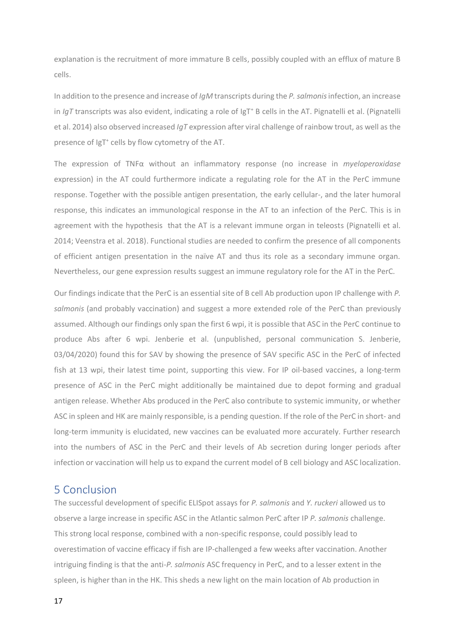explanation is the recruitment of more immature B cells, possibly coupled with an efflux of mature B cells.

In addition to the presence and increase of *IgM* transcripts during the *P. salmonis* infection, an increase in *IgT* transcripts was also evident, indicating a role of IgT<sup>+</sup> B cells in the AT. Pignatelli et al. (Pignatelli et al. 2014) also observed increased *IgT* expression after viral challenge of rainbow trout, as well as the presence of IgT<sup>+</sup> cells by flow cytometry of the AT.

The expression of TNFα without an inflammatory response (no increase in *myeloperoxidase* expression) in the AT could furthermore indicate a regulating role for the AT in the PerC immune response. Together with the possible antigen presentation, the early cellular-, and the later humoral response, this indicates an immunological response in the AT to an infection of the PerC. This is in agreement with the hypothesis that the AT is a relevant immune organ in teleosts (Pignatelli et al. 2014; Veenstra et al. 2018). Functional studies are needed to confirm the presence of all components of efficient antigen presentation in the naïve AT and thus its role as a secondary immune organ. Nevertheless, our gene expression results suggest an immune regulatory role for the AT in the PerC.

Our findings indicate that the PerC is an essential site of B cell Ab production upon IP challenge with *P. salmonis* (and probably vaccination) and suggest a more extended role of the PerC than previously assumed. Although our findings only span the first 6 wpi, it is possible that ASC in the PerC continue to produce Abs after 6 wpi. Jenberie et al. (unpublished, personal communication S. Jenberie, 03/04/2020) found this for SAV by showing the presence of SAV specific ASC in the PerC of infected fish at 13 wpi, their latest time point, supporting this view. For IP oil-based vaccines, a long-term presence of ASC in the PerC might additionally be maintained due to depot forming and gradual antigen release. Whether Abs produced in the PerC also contribute to systemic immunity, or whether ASC in spleen and HK are mainly responsible, is a pending question. If the role of the PerC in short- and long-term immunity is elucidated, new vaccines can be evaluated more accurately. Further research into the numbers of ASC in the PerC and their levels of Ab secretion during longer periods after infection or vaccination will help us to expand the current model of B cell biology and ASC localization.

## 5 Conclusion

The successful development of specific ELISpot assays for *P. salmonis* and *Y. ruckeri* allowed us to observe a large increase in specific ASC in the Atlantic salmon PerC after IP *P. salmonis* challenge. This strong local response, combined with a non-specific response, could possibly lead to overestimation of vaccine efficacy if fish are IP-challenged a few weeks after vaccination. Another intriguing finding is that the anti-*P. salmonis* ASC frequency in PerC, and to a lesser extent in the spleen, is higher than in the HK. This sheds a new light on the main location of Ab production in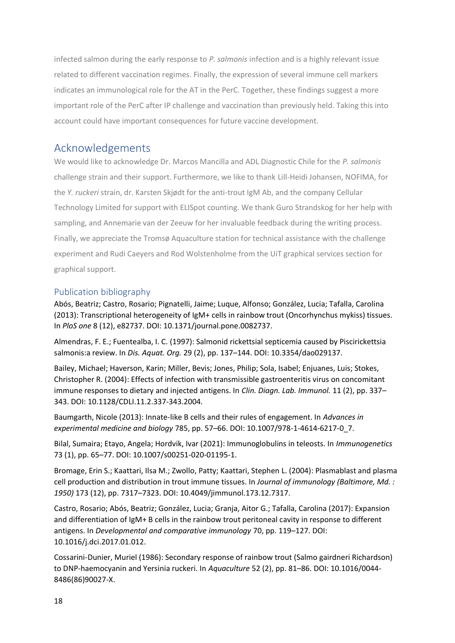infected salmon during the early response to *P. salmonis* infection and is a highly relevant issue related to different vaccination regimes. Finally, the expression of several immune cell markers indicates an immunological role for the AT in the PerC. Together, these findings suggest a more important role of the PerC after IP challenge and vaccination than previously held. Taking this into account could have important consequences for future vaccine development.

# Acknowledgements

We would like to acknowledge Dr. Marcos Mancilla and ADL Diagnostic Chile for the *P. salmonis* challenge strain and their support. Furthermore, we like to thank Lill-Heidi Johansen, NOFIMA, for the *Y. ruckeri* strain, dr. Karsten Skjødt for the anti-trout IgM Ab, and the company Cellular Technology Limited for support with ELISpot counting. We thank Guro Strandskog for her help with sampling, and Annemarie van der Zeeuw for her invaluable feedback during the writing process. Finally, we appreciate the Tromsø Aquaculture station for technical assistance with the challenge experiment and Rudi Caeyers and Rod Wolstenholme from the UiT graphical services section for graphical support.

### Publication bibliography

Abós, Beatriz; Castro, Rosario; Pignatelli, Jaime; Luque, Alfonso; González, Lucia; Tafalla, Carolina (2013): Transcriptional heterogeneity of IgM+ cells in rainbow trout (Oncorhynchus mykiss) tissues. In *PloS one* 8 (12), e82737. DOI: 10.1371/journal.pone.0082737.

Almendras, F. E.; Fuentealba, I. C. (1997): Salmonid rickettsial septicemia caused by Piscirickettsia salmonis:a review. In *Dis. Aquat. Org.* 29 (2), pp. 137–144. DOI: 10.3354/dao029137.

Bailey, Michael; Haverson, Karin; Miller, Bevis; Jones, Philip; Sola, Isabel; Enjuanes, Luis; Stokes, Christopher R. (2004): Effects of infection with transmissible gastroenteritis virus on concomitant immune responses to dietary and injected antigens. In *Clin. Diagn. Lab. Immunol.* 11 (2), pp. 337– 343. DOI: 10.1128/CDLI.11.2.337-343.2004.

Baumgarth, Nicole (2013): Innate-like B cells and their rules of engagement. In *Advances in experimental medicine and biology* 785, pp. 57–66. DOI: 10.1007/978-1-4614-6217-0\_7.

Bilal, Sumaira; Etayo, Angela; Hordvik, Ivar (2021): Immunoglobulins in teleosts. In *Immunogenetics*  73 (1), pp. 65–77. DOI: 10.1007/s00251-020-01195-1.

Bromage, Erin S.; Kaattari, Ilsa M.; Zwollo, Patty; Kaattari, Stephen L. (2004): Plasmablast and plasma cell production and distribution in trout immune tissues. In *Journal of immunology (Baltimore, Md. : 1950)* 173 (12), pp. 7317–7323. DOI: 10.4049/jimmunol.173.12.7317.

Castro, Rosario; Abós, Beatriz; González, Lucia; Granja, Aitor G.; Tafalla, Carolina (2017): Expansion and differentiation of IgM+ B cells in the rainbow trout peritoneal cavity in response to different antigens. In *Developmental and comparative immunology* 70, pp. 119–127. DOI: 10.1016/j.dci.2017.01.012.

Cossarini-Dunier, Muriel (1986): Secondary response of rainbow trout (Salmo gairdneri Richardson) to DNP-haemocyanin and Yersinia ruckeri. In *Aquaculture* 52 (2), pp. 81–86. DOI: 10.1016/0044- 8486(86)90027-X.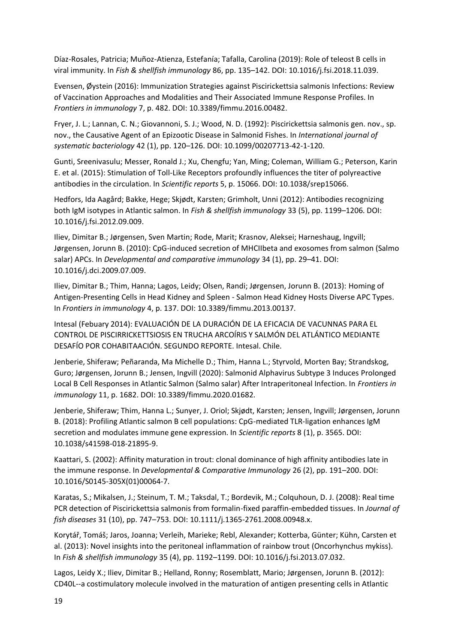Díaz-Rosales, Patricia; Muñoz-Atienza, Estefanía; Tafalla, Carolina (2019): Role of teleost B cells in viral immunity. In *Fish & shellfish immunology* 86, pp. 135–142. DOI: 10.1016/j.fsi.2018.11.039.

Evensen, Øystein (2016): Immunization Strategies against Piscirickettsia salmonis Infections: Review of Vaccination Approaches and Modalities and Their Associated Immune Response Profiles. In *Frontiers in immunology* 7, p. 482. DOI: 10.3389/fimmu.2016.00482.

Fryer, J. L.; Lannan, C. N.; Giovannoni, S. J.; Wood, N. D. (1992): Piscirickettsia salmonis gen. nov., sp. nov., the Causative Agent of an Epizootic Disease in Salmonid Fishes. In *International journal of systematic bacteriology* 42 (1), pp. 120–126. DOI: 10.1099/00207713-42-1-120.

Gunti, Sreenivasulu; Messer, Ronald J.; Xu, Chengfu; Yan, Ming; Coleman, William G.; Peterson, Karin E. et al. (2015): Stimulation of Toll-Like Receptors profoundly influences the titer of polyreactive antibodies in the circulation. In *Scientific reports* 5, p. 15066. DOI: 10.1038/srep15066.

Hedfors, Ida Aagård; Bakke, Hege; Skjødt, Karsten; Grimholt, Unni (2012): Antibodies recognizing both IgM isotypes in Atlantic salmon. In *Fish & shellfish immunology* 33 (5), pp. 1199–1206. DOI: 10.1016/j.fsi.2012.09.009.

Iliev, Dimitar B.; Jørgensen, Sven Martin; Rode, Marit; Krasnov, Aleksei; Harneshaug, Ingvill; Jørgensen, Jorunn B. (2010): CpG-induced secretion of MHCIIbeta and exosomes from salmon (Salmo salar) APCs. In *Developmental and comparative immunology* 34 (1), pp. 29–41. DOI: 10.1016/j.dci.2009.07.009.

Iliev, Dimitar B.; Thim, Hanna; Lagos, Leidy; Olsen, Randi; Jørgensen, Jorunn B. (2013): Homing of Antigen-Presenting Cells in Head Kidney and Spleen - Salmon Head Kidney Hosts Diverse APC Types. In *Frontiers in immunology* 4, p. 137. DOI: 10.3389/fimmu.2013.00137.

Intesal (Febuary 2014): EVALUACIÓN DE LA DURACIÓN DE LA EFICACIA DE VACUNNAS PARA EL CONTROL DE PISCIRRICKETTSIOSIS EN TRUCHA ARCOÍRIS Y SALMÓN DEL ATLÁNTICO MEDIANTE DESAFÍO POR COHABITAACIÓN. SEGUNDO REPORTE. Intesal. Chile.

Jenberie, Shiferaw; Peñaranda, Ma Michelle D.; Thim, Hanna L.; Styrvold, Morten Bay; Strandskog, Guro; Jørgensen, Jorunn B.; Jensen, Ingvill (2020): Salmonid Alphavirus Subtype 3 Induces Prolonged Local B Cell Responses in Atlantic Salmon (Salmo salar) After Intraperitoneal Infection. In *Frontiers in immunology* 11, p. 1682. DOI: 10.3389/fimmu.2020.01682.

Jenberie, Shiferaw; Thim, Hanna L.; Sunyer, J. Oriol; Skjødt, Karsten; Jensen, Ingvill; Jørgensen, Jorunn B. (2018): Profiling Atlantic salmon B cell populations: CpG-mediated TLR-ligation enhances IgM secretion and modulates immune gene expression. In *Scientific reports* 8 (1), p. 3565. DOI: 10.1038/s41598-018-21895-9.

Kaattari, S. (2002): Affinity maturation in trout: clonal dominance of high affinity antibodies late in the immune response. In *Developmental & Comparative Immunology* 26 (2), pp. 191–200. DOI: 10.1016/S0145-305X(01)00064-7.

Karatas, S.; Mikalsen, J.; Steinum, T. M.; Taksdal, T.; Bordevik, M.; Colquhoun, D. J. (2008): Real time PCR detection of Piscirickettsia salmonis from formalin-fixed paraffin-embedded tissues. In *Journal of fish diseases* 31 (10), pp. 747–753. DOI: 10.1111/j.1365-2761.2008.00948.x.

Korytář, Tomáš; Jaros, Joanna; Verleih, Marieke; Rebl, Alexander; Kotterba, Günter; Kühn, Carsten et al. (2013): Novel insights into the peritoneal inflammation of rainbow trout (Oncorhynchus mykiss). In *Fish & shellfish immunology* 35 (4), pp. 1192–1199. DOI: 10.1016/j.fsi.2013.07.032.

Lagos, Leidy X.; Iliev, Dimitar B.; Helland, Ronny; Rosemblatt, Mario; Jørgensen, Jorunn B. (2012): CD40L--a costimulatory molecule involved in the maturation of antigen presenting cells in Atlantic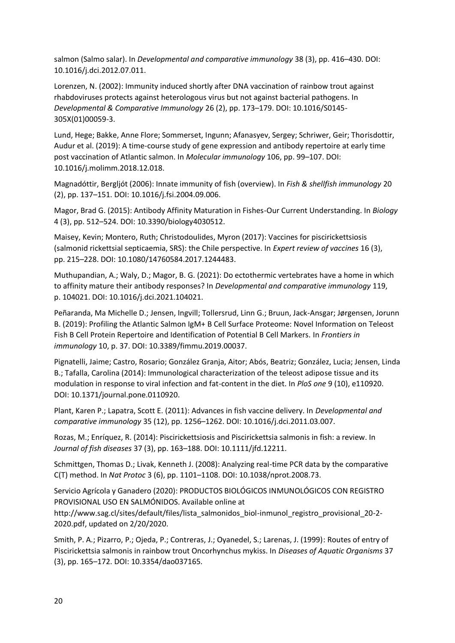salmon (Salmo salar). In *Developmental and comparative immunology* 38 (3), pp. 416–430. DOI: 10.1016/j.dci.2012.07.011.

Lorenzen, N. (2002): Immunity induced shortly after DNA vaccination of rainbow trout against rhabdoviruses protects against heterologous virus but not against bacterial pathogens. In *Developmental & Comparative Immunology* 26 (2), pp. 173–179. DOI: 10.1016/S0145- 305X(01)00059-3.

Lund, Hege; Bakke, Anne Flore; Sommerset, Ingunn; Afanasyev, Sergey; Schriwer, Geir; Thorisdottir, Audur et al. (2019): A time-course study of gene expression and antibody repertoire at early time post vaccination of Atlantic salmon. In *Molecular immunology* 106, pp. 99–107. DOI: 10.1016/j.molimm.2018.12.018.

Magnadóttir, Bergljót (2006): Innate immunity of fish (overview). In *Fish & shellfish immunology* 20 (2), pp. 137–151. DOI: 10.1016/j.fsi.2004.09.006.

Magor, Brad G. (2015): Antibody Affinity Maturation in Fishes-Our Current Understanding. In *Biology*  4 (3), pp. 512–524. DOI: 10.3390/biology4030512.

Maisey, Kevin; Montero, Ruth; Christodoulides, Myron (2017): Vaccines for piscirickettsiosis (salmonid rickettsial septicaemia, SRS): the Chile perspective. In *Expert review of vaccines* 16 (3), pp. 215–228. DOI: 10.1080/14760584.2017.1244483.

Muthupandian, A.; Waly, D.; Magor, B. G. (2021): Do ectothermic vertebrates have a home in which to affinity mature their antibody responses? In *Developmental and comparative immunology* 119, p. 104021. DOI: 10.1016/j.dci.2021.104021.

Peñaranda, Ma Michelle D.; Jensen, Ingvill; Tollersrud, Linn G.; Bruun, Jack-Ansgar; Jørgensen, Jorunn B. (2019): Profiling the Atlantic Salmon IgM+ B Cell Surface Proteome: Novel Information on Teleost Fish B Cell Protein Repertoire and Identification of Potential B Cell Markers. In *Frontiers in immunology* 10, p. 37. DOI: 10.3389/fimmu.2019.00037.

Pignatelli, Jaime; Castro, Rosario; González Granja, Aitor; Abós, Beatriz; González, Lucia; Jensen, Linda B.; Tafalla, Carolina (2014): Immunological characterization of the teleost adipose tissue and its modulation in response to viral infection and fat-content in the diet. In *PloS one* 9 (10), e110920. DOI: 10.1371/journal.pone.0110920.

Plant, Karen P.; Lapatra, Scott E. (2011): Advances in fish vaccine delivery. In *Developmental and comparative immunology* 35 (12), pp. 1256–1262. DOI: 10.1016/j.dci.2011.03.007.

Rozas, M.; Enríquez, R. (2014): Piscirickettsiosis and Piscirickettsia salmonis in fish: a review. In *Journal of fish diseases* 37 (3), pp. 163–188. DOI: 10.1111/jfd.12211.

Schmittgen, Thomas D.; Livak, Kenneth J. (2008): Analyzing real-time PCR data by the comparative C(T) method. In *Nat Protoc* 3 (6), pp. 1101–1108. DOI: 10.1038/nprot.2008.73.

Servicio Agrícola y Ganadero (2020): PRODUCTOS BIOLÓGICOS INMUNOLÓGICOS CON REGISTRO PROVISIONAL USO EN SALMÓNIDOS. Available online at

http://www.sag.cl/sites/default/files/lista\_salmonidos\_biol-inmunol\_registro\_provisional\_20-2- 2020.pdf, updated on 2/20/2020.

Smith, P. A.; Pizarro, P.; Ojeda, P.; Contreras, J.; Oyanedel, S.; Larenas, J. (1999): Routes of entry of Piscirickettsia salmonis in rainbow trout Oncorhynchus mykiss. In *Diseases of Aquatic Organisms* 37 (3), pp. 165–172. DOI: 10.3354/dao037165.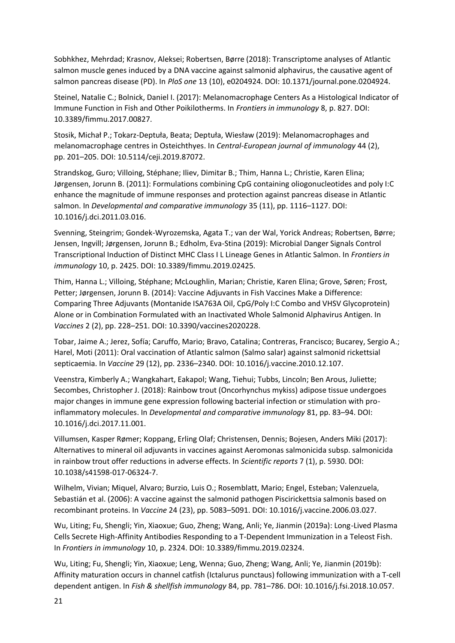Sobhkhez, Mehrdad; Krasnov, Aleksei; Robertsen, Børre (2018): Transcriptome analyses of Atlantic salmon muscle genes induced by a DNA vaccine against salmonid alphavirus, the causative agent of salmon pancreas disease (PD). In *PloS one* 13 (10), e0204924. DOI: 10.1371/journal.pone.0204924.

Steinel, Natalie C.; Bolnick, Daniel I. (2017): Melanomacrophage Centers As a Histological Indicator of Immune Function in Fish and Other Poikilotherms. In *Frontiers in immunology* 8, p. 827. DOI: 10.3389/fimmu.2017.00827.

Stosik, Michał P.; Tokarz-Deptuła, Beata; Deptuła, Wiesław (2019): Melanomacrophages and melanomacrophage centres in Osteichthyes. In *Central-European journal of immunology* 44 (2), pp. 201–205. DOI: 10.5114/ceji.2019.87072.

Strandskog, Guro; Villoing, Stéphane; Iliev, Dimitar B.; Thim, Hanna L.; Christie, Karen Elina; Jørgensen, Jorunn B. (2011): Formulations combining CpG containing oliogonucleotides and poly I:C enhance the magnitude of immune responses and protection against pancreas disease in Atlantic salmon. In *Developmental and comparative immunology* 35 (11), pp. 1116–1127. DOI: 10.1016/j.dci.2011.03.016.

Svenning, Steingrim; Gondek-Wyrozemska, Agata T.; van der Wal, Yorick Andreas; Robertsen, Børre; Jensen, Ingvill; Jørgensen, Jorunn B.; Edholm, Eva-Stina (2019): Microbial Danger Signals Control Transcriptional Induction of Distinct MHC Class I L Lineage Genes in Atlantic Salmon. In *Frontiers in immunology* 10, p. 2425. DOI: 10.3389/fimmu.2019.02425.

Thim, Hanna L.; Villoing, Stéphane; McLoughlin, Marian; Christie, Karen Elina; Grove, Søren; Frost, Petter; Jørgensen, Jorunn B. (2014): Vaccine Adjuvants in Fish Vaccines Make a Difference: Comparing Three Adjuvants (Montanide ISA763A Oil, CpG/Poly I:C Combo and VHSV Glycoprotein) Alone or in Combination Formulated with an Inactivated Whole Salmonid Alphavirus Antigen. In *Vaccines* 2 (2), pp. 228–251. DOI: 10.3390/vaccines2020228.

Tobar, Jaime A.; Jerez, Sofía; Caruffo, Mario; Bravo, Catalina; Contreras, Francisco; Bucarey, Sergio A.; Harel, Moti (2011): Oral vaccination of Atlantic salmon (Salmo salar) against salmonid rickettsial septicaemia. In *Vaccine* 29 (12), pp. 2336–2340. DOI: 10.1016/j.vaccine.2010.12.107.

Veenstra, Kimberly A.; Wangkahart, Eakapol; Wang, Tiehui; Tubbs, Lincoln; Ben Arous, Juliette; Secombes, Christopher J. (2018): Rainbow trout (Oncorhynchus mykiss) adipose tissue undergoes major changes in immune gene expression following bacterial infection or stimulation with proinflammatory molecules. In *Developmental and comparative immunology* 81, pp. 83–94. DOI: 10.1016/j.dci.2017.11.001.

Villumsen, Kasper Rømer; Koppang, Erling Olaf; Christensen, Dennis; Bojesen, Anders Miki (2017): Alternatives to mineral oil adjuvants in vaccines against Aeromonas salmonicida subsp. salmonicida in rainbow trout offer reductions in adverse effects. In *Scientific reports* 7 (1), p. 5930. DOI: 10.1038/s41598-017-06324-7.

Wilhelm, Vivian; Miquel, Alvaro; Burzio, Luis O.; Rosemblatt, Mario; Engel, Esteban; Valenzuela, Sebastián et al. (2006): A vaccine against the salmonid pathogen Piscirickettsia salmonis based on recombinant proteins. In *Vaccine* 24 (23), pp. 5083–5091. DOI: 10.1016/j.vaccine.2006.03.027.

Wu, Liting; Fu, Shengli; Yin, Xiaoxue; Guo, Zheng; Wang, Anli; Ye, Jianmin (2019a): Long-Lived Plasma Cells Secrete High-Affinity Antibodies Responding to a T-Dependent Immunization in a Teleost Fish. In *Frontiers in immunology* 10, p. 2324. DOI: 10.3389/fimmu.2019.02324.

Wu, Liting; Fu, Shengli; Yin, Xiaoxue; Leng, Wenna; Guo, Zheng; Wang, Anli; Ye, Jianmin (2019b): Affinity maturation occurs in channel catfish (Ictalurus punctaus) following immunization with a T-cell dependent antigen. In *Fish & shellfish immunology* 84, pp. 781–786. DOI: 10.1016/j.fsi.2018.10.057.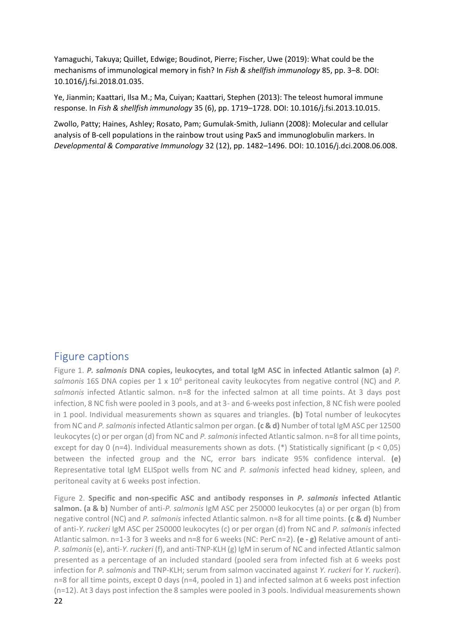Yamaguchi, Takuya; Quillet, Edwige; Boudinot, Pierre; Fischer, Uwe (2019): What could be the mechanisms of immunological memory in fish? In *Fish & shellfish immunology* 85, pp. 3–8. DOI: 10.1016/j.fsi.2018.01.035.

Ye, Jianmin; Kaattari, Ilsa M.; Ma, Cuiyan; Kaattari, Stephen (2013): The teleost humoral immune response. In *Fish & shellfish immunology* 35 (6), pp. 1719–1728. DOI: 10.1016/j.fsi.2013.10.015.

Zwollo, Patty; Haines, Ashley; Rosato, Pam; Gumulak-Smith, Juliann (2008): Molecular and cellular analysis of B-cell populations in the rainbow trout using Pax5 and immunoglobulin markers. In *Developmental & Comparative Immunology* 32 (12), pp. 1482–1496. DOI: 10.1016/j.dci.2008.06.008.

# Figure captions

Figure 1. *P. salmonis* **DNA copies, leukocytes, and total IgM ASC in infected Atlantic salmon (a)** *P. salmonis* 16S DNA copies per 1 x 10<sup>6</sup> peritoneal cavity leukocytes from negative control (NC) and *P. salmonis* infected Atlantic salmon. n=8 for the infected salmon at all time points. At 3 days post infection, 8 NC fish were pooled in 3 pools, and at 3- and 6-weeks post infection, 8 NC fish were pooled in 1 pool. Individual measurements shown as squares and triangles. **(b)** Total number of leukocytes from NC and *P. salmonis* infected Atlantic salmon per organ. **(c & d)** Number of total IgM ASC per 12500 leukocytes (c) or per organ (d) from NC and *P. salmonis* infected Atlantic salmon. n=8 for all time points, except for day 0 (n=4). Individual measurements shown as dots. (\*) Statistically significant ( $p < 0.05$ ) between the infected group and the NC, error bars indicate 95% confidence interval. **(e)** Representative total IgM ELISpot wells from NC and *P. salmonis* infected head kidney, spleen, and peritoneal cavity at 6 weeks post infection.

22 Figure 2. **Specific and non-specific ASC and antibody responses in** *P. salmonis* **infected Atlantic salmon. (a & b)** Number of anti-*P. salmonis* IgM ASC per 250000 leukocytes (a) or per organ (b) from negative control (NC) and *P. salmonis* infected Atlantic salmon. n=8 for all time points. **(c & d)** Number of anti-*Y. ruckeri* IgM ASC per 250000 leukocytes (c) or per organ (d) from NC and *P. salmonis* infected Atlantic salmon. n=1-3 for 3 weeks and n=8 for 6 weeks (NC: PerC n=2). **(e - g)** Relative amount of anti-*P. salmonis*(e), anti-*Y. ruckeri* (f), and anti-TNP-KLH (g) IgM in serum of NC and infected Atlantic salmon presented as a percentage of an included standard (pooled sera from infected fish at 6 weeks post infection for *P. salmonis* and TNP-KLH; serum from salmon vaccinated against *Y. ruckeri* for *Y. ruckeri*). n=8 for all time points, except 0 days (n=4, pooled in 1) and infected salmon at 6 weeks post infection (n=12). At 3 days post infection the 8 samples were pooled in 3 pools. Individual measurements shown